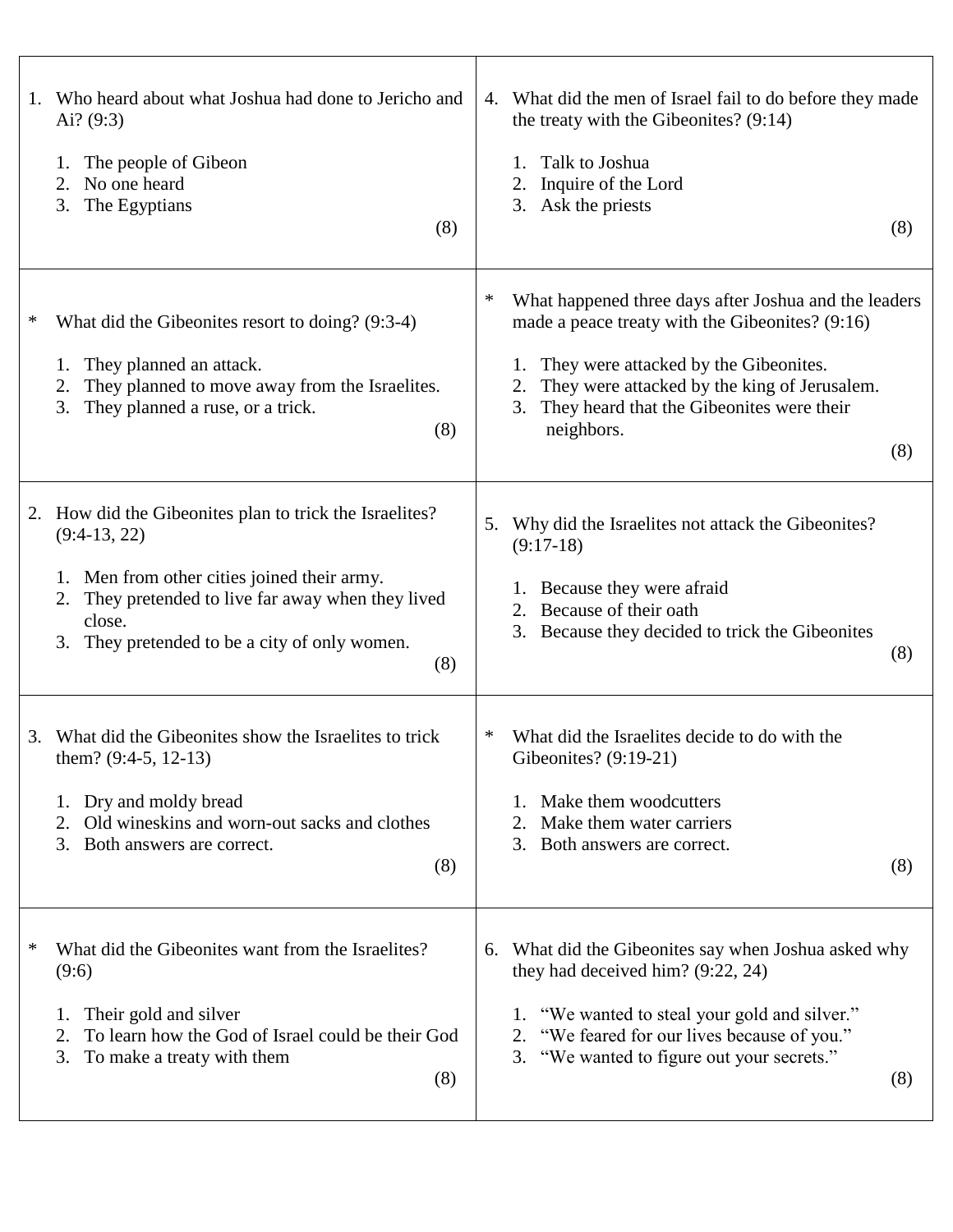| 1.<br>Ai? $(9:3)$<br>1.<br>2.<br>3. | Who heard about what Joshua had done to Jericho and<br>The people of Gibeon<br>No one heard<br>The Egyptians<br>(8)                                                                                                                  | 4.     | What did the men of Israel fail to do before they made<br>the treaty with the Gibeonites? (9:14)<br>Talk to Joshua<br>Inquire of the Lord<br>2.<br>3. Ask the priests<br>(8)                                                                                              |
|-------------------------------------|--------------------------------------------------------------------------------------------------------------------------------------------------------------------------------------------------------------------------------------|--------|---------------------------------------------------------------------------------------------------------------------------------------------------------------------------------------------------------------------------------------------------------------------------|
| ∗<br>1.<br>2.<br>3.                 | What did the Gibeonites resort to doing? (9:3-4)<br>They planned an attack.<br>They planned to move away from the Israelites.<br>They planned a ruse, or a trick.<br>(8)                                                             | ∗      | What happened three days after Joshua and the leaders<br>made a peace treaty with the Gibeonites? (9:16)<br>They were attacked by the Gibeonites.<br>They were attacked by the king of Jerusalem.<br>They heard that the Gibeonites were their<br>3.<br>neighbors.<br>(8) |
| 2.<br>1.<br>2.<br>3.                | How did the Gibeonites plan to trick the Israelites?<br>$(9:4-13, 22)$<br>Men from other cities joined their army.<br>They pretended to live far away when they lived<br>close.<br>They pretended to be a city of only women.<br>(8) | 5.     | Why did the Israelites not attack the Gibeonites?<br>$(9:17-18)$<br>1. Because they were afraid<br>Because of their oath<br>2.<br>3. Because they decided to trick the Gibeonites<br>(8)                                                                                  |
| 3.<br>2.<br>3.                      | What did the Gibeonites show the Israelites to trick<br>them? (9:4-5, 12-13)<br>Dry and moldy bread<br>Old wineskins and worn-out sacks and clothes<br>Both answers are correct.<br>(8)                                              | $\ast$ | What did the Israelites decide to do with the<br>Gibeonites? (9:19-21)<br>Make them woodcutters<br>Make them water carriers<br>2.<br>3. Both answers are correct.<br>(8)                                                                                                  |
| ∗<br>(9:6)<br>1.<br>3.              | What did the Gibeonites want from the Israelites?<br>Their gold and silver<br>To learn how the God of Israel could be their God<br>To make a treaty with them<br>(8)                                                                 |        | 6. What did the Gibeonites say when Joshua asked why<br>they had deceived him? $(9:22, 24)$<br>"We wanted to steal your gold and silver."<br>1.<br>"We feared for our lives because of you."<br>2.<br>3. "We wanted to figure out your secrets."<br>(8)                   |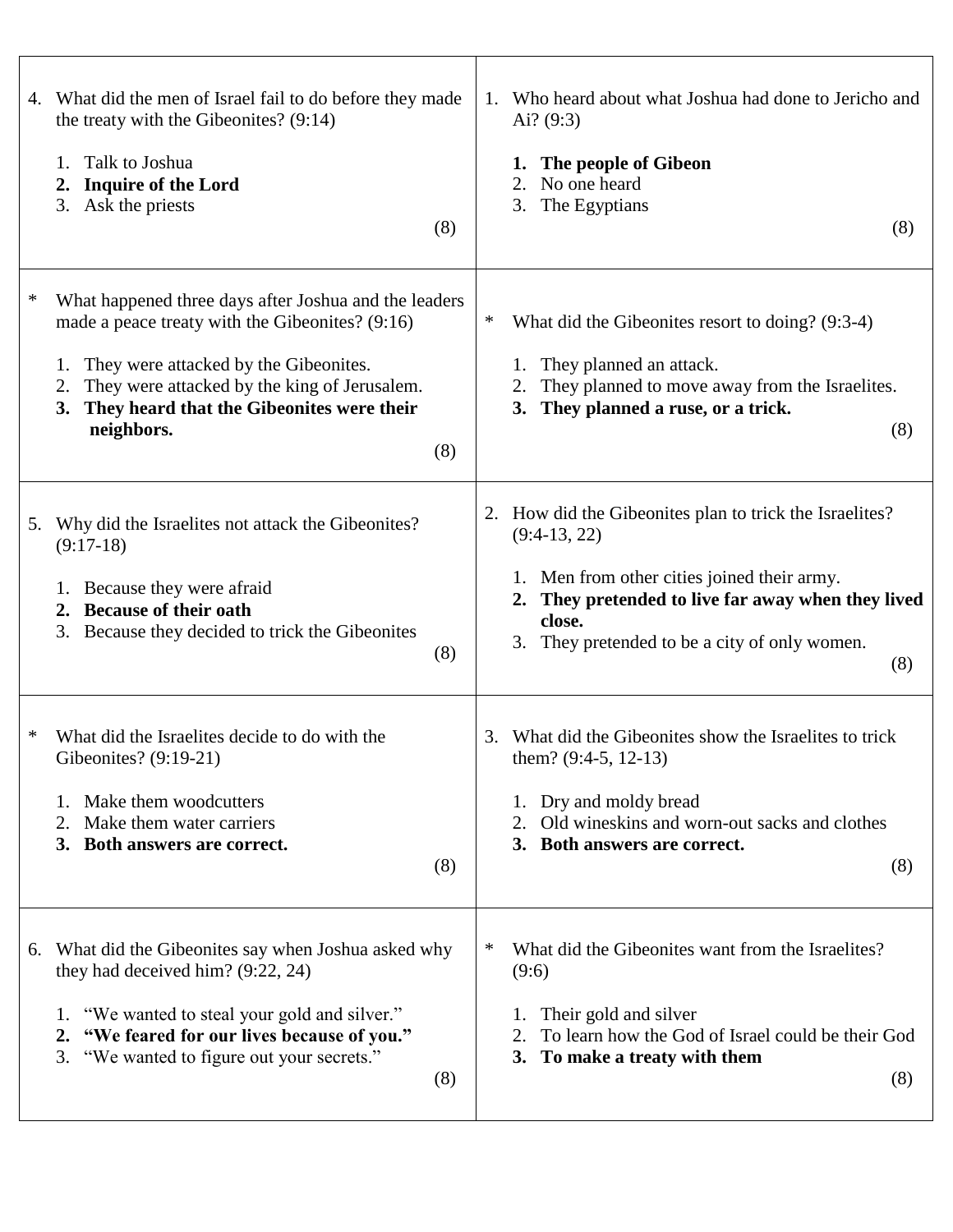|    | 4. What did the men of Israel fail to do before they made<br>the treaty with the Gibeonites? (9:14)<br>Talk to Joshua<br>1.<br><b>Inquire of the Lord</b><br>2.<br>3. Ask the priests<br>(8)                                                                                    | Who heard about what Joshua had done to Jericho and<br>1.<br>Ai? $(9:3)$<br>The people of Gibeon<br>1.<br>No one heard<br>2.<br>The Egyptians<br>3.<br>(8)                                                                                                |
|----|---------------------------------------------------------------------------------------------------------------------------------------------------------------------------------------------------------------------------------------------------------------------------------|-----------------------------------------------------------------------------------------------------------------------------------------------------------------------------------------------------------------------------------------------------------|
| ∗  | What happened three days after Joshua and the leaders<br>made a peace treaty with the Gibeonites? (9:16)<br>They were attacked by the Gibeonites.<br>They were attacked by the king of Jerusalem.<br>2.<br>They heard that the Gibeonites were their<br>3.<br>neighbors.<br>(8) | ∗<br>What did the Gibeonites resort to doing? (9:3-4)<br>1. They planned an attack.<br>They planned to move away from the Israelites.<br>2.<br>They planned a ruse, or a trick.<br>3.<br>(8)                                                              |
| 5. | Why did the Israelites not attack the Gibeonites?<br>$(9:17-18)$<br>1. Because they were afraid<br><b>Because of their oath</b><br>2.<br>3. Because they decided to trick the Gibeonites<br>(8)                                                                                 | How did the Gibeonites plan to trick the Israelites?<br>2.<br>$(9:4-13, 22)$<br>1. Men from other cities joined their army.<br>They pretended to live far away when they lived<br>2.<br>close.<br>They pretended to be a city of only women.<br>3.<br>(8) |
|    | What did the Israelites decide to do with the<br>Gibeonites? $(9:19-21)$<br>Make them woodcutters<br>Make them water carriers<br>2.<br>3. Both answers are correct.<br>(8)                                                                                                      | What did the Gibeonites show the Israelites to trick<br>3.<br>them? $(9:4-5, 12-13)$<br>Dry and moldy bread<br>1.<br>Old wineskins and worn-out sacks and clothes<br>2.<br>3. Both answers are correct.<br>(8)                                            |
|    | 6. What did the Gibeonites say when Joshua asked why<br>they had deceived him? $(9:22, 24)$<br>1. "We wanted to steal your gold and silver."<br>2. "We feared for our lives because of you."<br>3. "We wanted to figure out your secrets."<br>(8)                               | What did the Gibeonites want from the Israelites?<br>∗<br>(9:6)<br>Their gold and silver<br>1.<br>To learn how the God of Israel could be their God<br>2.<br>3. To make a treaty with them<br>(8)                                                         |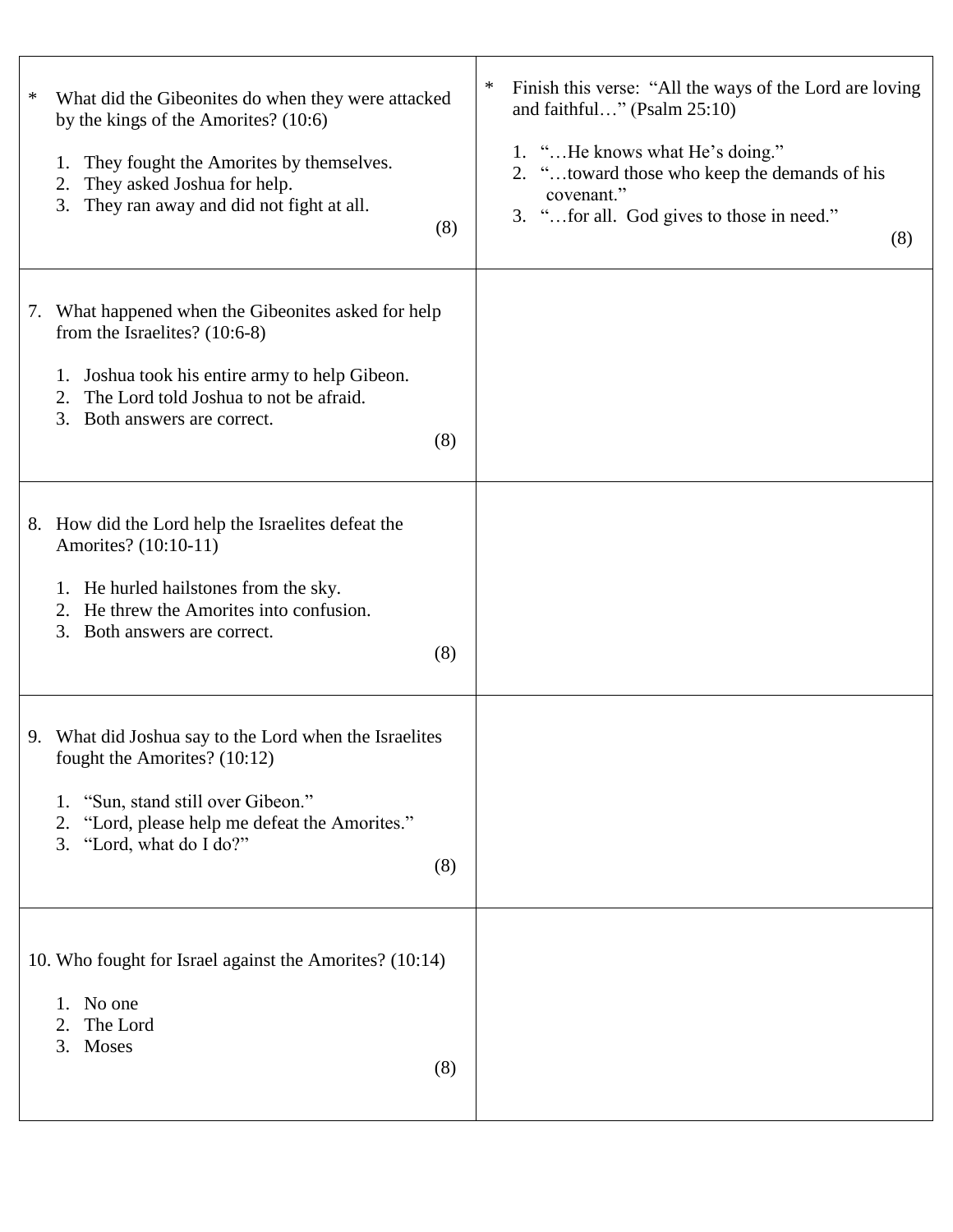| ∗ | What did the Gibeonites do when they were attacked<br>by the kings of the Amorites? (10:6)<br>They fought the Amorites by themselves.<br>1.<br>They asked Joshua for help.<br>2.<br>They ran away and did not fight at all.<br>3.<br>(8) | $\ast$<br>Finish this verse: "All the ways of the Lord are loving<br>and faithful" (Psalm $25:10$ )<br>1. "He knows what He's doing."<br>2. "toward those who keep the demands of his<br>covenant."<br>3. "for all. God gives to those in need."<br>(8) |
|---|------------------------------------------------------------------------------------------------------------------------------------------------------------------------------------------------------------------------------------------|---------------------------------------------------------------------------------------------------------------------------------------------------------------------------------------------------------------------------------------------------------|
|   | 7. What happened when the Gibeonites asked for help<br>from the Israelites? $(10:6-8)$<br>Joshua took his entire army to help Gibeon.<br>1.<br>The Lord told Joshua to not be afraid.<br>2.<br>Both answers are correct.<br>3.<br>(8)    |                                                                                                                                                                                                                                                         |
|   | 8. How did the Lord help the Israelites defeat the<br>Amorites? (10:10-11)<br>1. He hurled hailstones from the sky.<br>He threw the Amorites into confusion.<br>2.<br>3.<br>Both answers are correct.<br>(8)                             |                                                                                                                                                                                                                                                         |
|   | 9. What did Joshua say to the Lord when the Israelites<br>fought the Amorites? (10:12)<br>"Sun, stand still over Gibeon."<br>1.<br>"Lord, please help me defeat the Amorites."<br>2.<br>3. "Lord, what do I do?"<br>(8)                  |                                                                                                                                                                                                                                                         |
|   | 10. Who fought for Israel against the Amorites? (10:14)<br>1. No one<br>The Lord<br>2.<br>Moses<br>3.<br>(8)                                                                                                                             |                                                                                                                                                                                                                                                         |